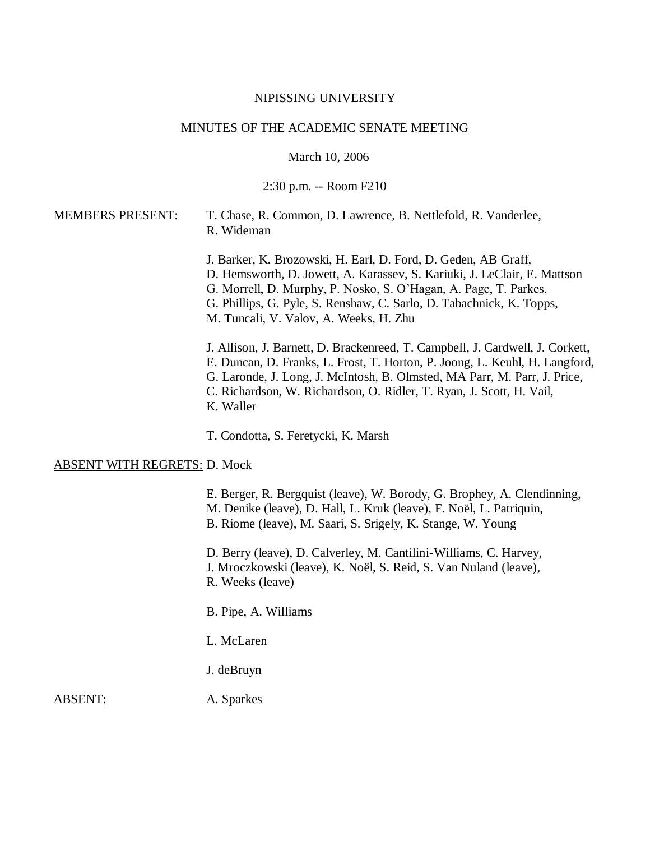#### NIPISSING UNIVERSITY

#### MINUTES OF THE ACADEMIC SENATE MEETING

March 10, 2006

2:30 p.m. -- Room F210

## MEMBERS PRESENT: T. Chase, R. Common, D. Lawrence, B. Nettlefold, R. Vanderlee, R. Wideman

J. Barker, K. Brozowski, H. Earl, D. Ford, D. Geden, AB Graff, D. Hemsworth, D. Jowett, A. Karassev, S. Kariuki, J. LeClair, E. Mattson G. Morrell, D. Murphy, P. Nosko, S. O'Hagan, A. Page, T. Parkes, G. Phillips, G. Pyle, S. Renshaw, C. Sarlo, D. Tabachnick, K. Topps, M. Tuncali, V. Valov, A. Weeks, H. Zhu

J. Allison, J. Barnett, D. Brackenreed, T. Campbell, J. Cardwell, J. Corkett, E. Duncan, D. Franks, L. Frost, T. Horton, P. Joong, L. Keuhl, H. Langford, G. Laronde, J. Long, J. McIntosh, B. Olmsted, MA Parr, M. Parr, J. Price, C. Richardson, W. Richardson, O. Ridler, T. Ryan, J. Scott, H. Vail, K. Waller

T. Condotta, S. Feretycki, K. Marsh

#### ABSENT WITH REGRETS: D. Mock

E. Berger, R. Bergquist (leave), W. Borody, G. Brophey, A. Clendinning, M. Denike (leave), D. Hall, L. Kruk (leave), F. Noël, L. Patriquin, B. Riome (leave), M. Saari, S. Srigely, K. Stange, W. Young D. Berry (leave), D. Calverley, M. Cantilini-Williams, C. Harvey, J. Mroczkowski (leave), K. Noël, S. Reid, S. Van Nuland (leave), R. Weeks (leave) B. Pipe, A. Williams L. McLaren J. deBruyn ABSENT: A. Sparkes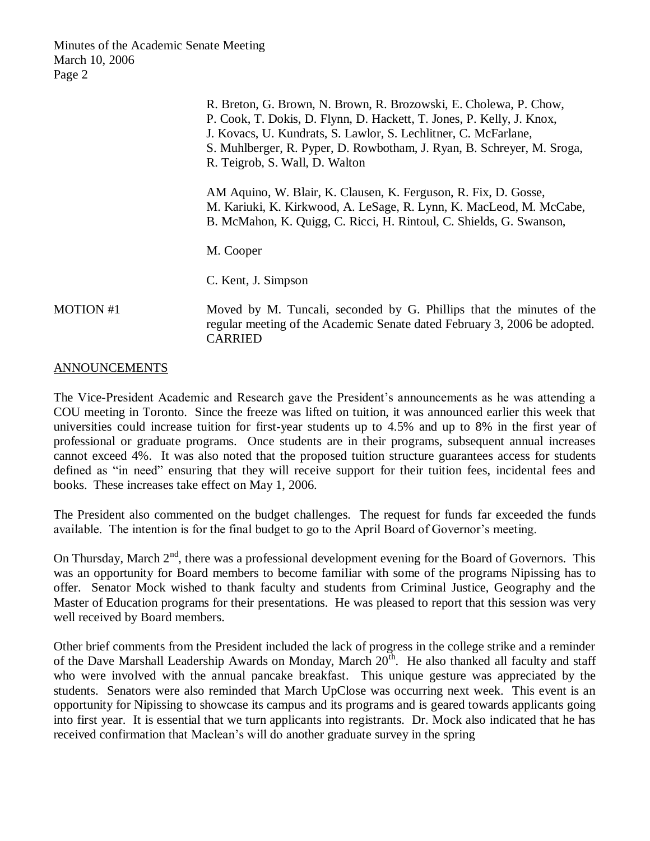|                  | R. Breton, G. Brown, N. Brown, R. Brozowski, E. Cholewa, P. Chow,<br>P. Cook, T. Dokis, D. Flynn, D. Hackett, T. Jones, P. Kelly, J. Knox,<br>J. Kovacs, U. Kundrats, S. Lawlor, S. Lechlitner, C. McFarlane,<br>S. Muhlberger, R. Pyper, D. Rowbotham, J. Ryan, B. Schreyer, M. Sroga,<br>R. Teigrob, S. Wall, D. Walton |
|------------------|---------------------------------------------------------------------------------------------------------------------------------------------------------------------------------------------------------------------------------------------------------------------------------------------------------------------------|
|                  | AM Aquino, W. Blair, K. Clausen, K. Ferguson, R. Fix, D. Gosse,<br>M. Kariuki, K. Kirkwood, A. LeSage, R. Lynn, K. MacLeod, M. McCabe,<br>B. McMahon, K. Quigg, C. Ricci, H. Rintoul, C. Shields, G. Swanson,                                                                                                             |
|                  | M. Cooper                                                                                                                                                                                                                                                                                                                 |
|                  | C. Kent, J. Simpson                                                                                                                                                                                                                                                                                                       |
| <b>MOTION #1</b> | Moved by M. Tuncali, seconded by G. Phillips that the minutes of the<br>regular meeting of the Academic Senate dated February 3, 2006 be adopted.<br><b>CARRIED</b>                                                                                                                                                       |

## ANNOUNCEMENTS

The Vice-President Academic and Research gave the President's announcements as he was attending a COU meeting in Toronto. Since the freeze was lifted on tuition, it was announced earlier this week that universities could increase tuition for first-year students up to 4.5% and up to 8% in the first year of professional or graduate programs. Once students are in their programs, subsequent annual increases cannot exceed 4%. It was also noted that the proposed tuition structure guarantees access for students defined as "in need" ensuring that they will receive support for their tuition fees, incidental fees and books. These increases take effect on May 1, 2006.

The President also commented on the budget challenges. The request for funds far exceeded the funds available. The intention is for the final budget to go to the April Board of Governor's meeting.

On Thursday, March  $2<sup>nd</sup>$ , there was a professional development evening for the Board of Governors. This was an opportunity for Board members to become familiar with some of the programs Nipissing has to offer. Senator Mock wished to thank faculty and students from Criminal Justice, Geography and the Master of Education programs for their presentations. He was pleased to report that this session was very well received by Board members.

Other brief comments from the President included the lack of progress in the college strike and a reminder of the Dave Marshall Leadership Awards on Monday, March 20<sup>th</sup>. He also thanked all faculty and staff who were involved with the annual pancake breakfast. This unique gesture was appreciated by the students. Senators were also reminded that March UpClose was occurring next week. This event is an opportunity for Nipissing to showcase its campus and its programs and is geared towards applicants going into first year. It is essential that we turn applicants into registrants. Dr. Mock also indicated that he has received confirmation that Maclean's will do another graduate survey in the spring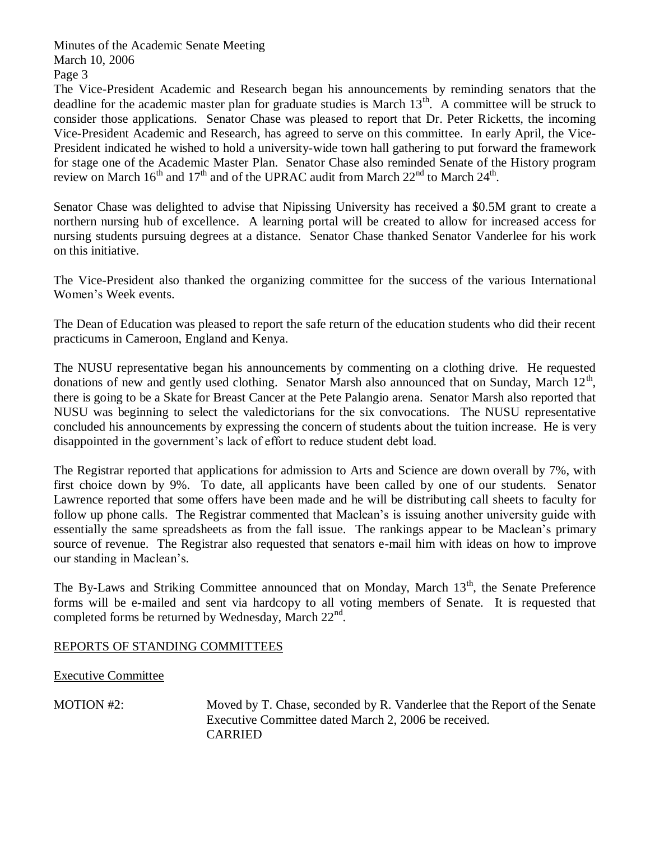The Vice-President Academic and Research began his announcements by reminding senators that the deadline for the academic master plan for graduate studies is March  $13<sup>th</sup>$ . A committee will be struck to consider those applications. Senator Chase was pleased to report that Dr. Peter Ricketts, the incoming Vice-President Academic and Research, has agreed to serve on this committee. In early April, the Vice-President indicated he wished to hold a university-wide town hall gathering to put forward the framework for stage one of the Academic Master Plan. Senator Chase also reminded Senate of the History program review on March  $16^{th}$  and  $17^{th}$  and of the UPRAC audit from March  $22^{nd}$  to March  $24^{th}$ .

Senator Chase was delighted to advise that Nipissing University has received a \$0.5M grant to create a northern nursing hub of excellence. A learning portal will be created to allow for increased access for nursing students pursuing degrees at a distance. Senator Chase thanked Senator Vanderlee for his work on this initiative.

The Vice-President also thanked the organizing committee for the success of the various International Women's Week events.

The Dean of Education was pleased to report the safe return of the education students who did their recent practicums in Cameroon, England and Kenya.

The NUSU representative began his announcements by commenting on a clothing drive. He requested donations of new and gently used clothing. Senator Marsh also announced that on Sunday, March  $12<sup>th</sup>$ , there is going to be a Skate for Breast Cancer at the Pete Palangio arena. Senator Marsh also reported that NUSU was beginning to select the valedictorians for the six convocations. The NUSU representative concluded his announcements by expressing the concern of students about the tuition increase. He is very disappointed in the government's lack of effort to reduce student debt load.

The Registrar reported that applications for admission to Arts and Science are down overall by 7%, with first choice down by 9%. To date, all applicants have been called by one of our students. Senator Lawrence reported that some offers have been made and he will be distributing call sheets to faculty for follow up phone calls. The Registrar commented that Maclean's is issuing another university guide with essentially the same spreadsheets as from the fall issue. The rankings appear to be Maclean's primary source of revenue. The Registrar also requested that senators e-mail him with ideas on how to improve our standing in Maclean's.

The By-Laws and Striking Committee announced that on Monday, March 13<sup>th</sup>, the Senate Preference forms will be e-mailed and sent via hardcopy to all voting members of Senate. It is requested that completed forms be returned by Wednesday, March  $22<sup>nd</sup>$ .

# REPORTS OF STANDING COMMITTEES

Executive Committee

MOTION #2: Moved by T. Chase, seconded by R. Vanderlee that the Report of the Senate Executive Committee dated March 2, 2006 be received. CARRIED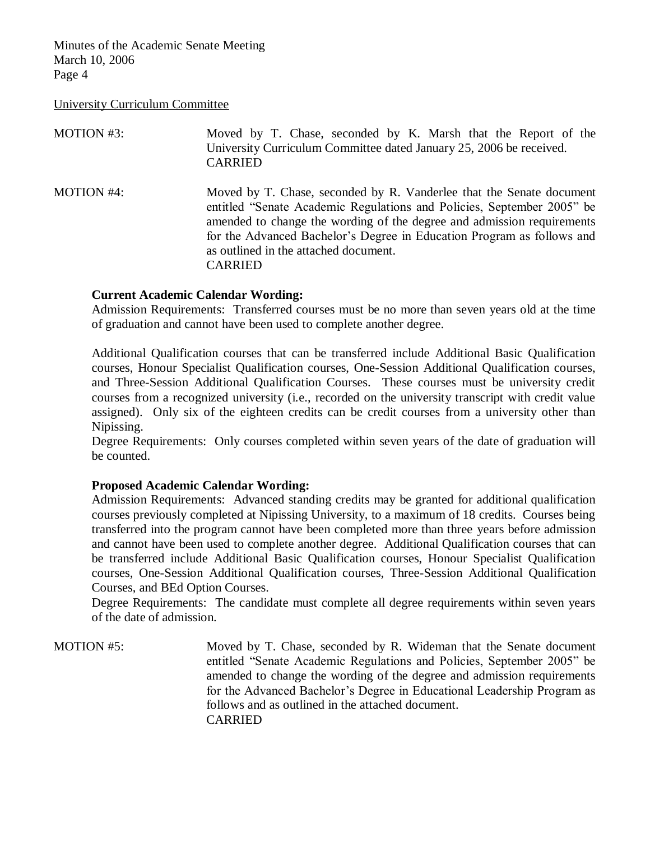University Curriculum Committee

| MOTION #3:        | Moved by T. Chase, seconded by K. Marsh that the Report of the<br>University Curriculum Committee dated January 25, 2006 be received.<br><b>CARRIED</b>                                                                                                                                                                                                       |
|-------------------|---------------------------------------------------------------------------------------------------------------------------------------------------------------------------------------------------------------------------------------------------------------------------------------------------------------------------------------------------------------|
| <b>MOTION #4:</b> | Moved by T. Chase, seconded by R. Vanderlee that the Senate document<br>entitled "Senate Academic Regulations and Policies, September 2005" be<br>amended to change the wording of the degree and admission requirements<br>for the Advanced Bachelor's Degree in Education Program as follows and<br>as outlined in the attached document.<br><b>CARRIED</b> |

#### **Current Academic Calendar Wording:**

Admission Requirements: Transferred courses must be no more than seven years old at the time of graduation and cannot have been used to complete another degree.

Additional Qualification courses that can be transferred include Additional Basic Qualification courses, Honour Specialist Qualification courses, One-Session Additional Qualification courses, and Three-Session Additional Qualification Courses. These courses must be university credit courses from a recognized university (i.e., recorded on the university transcript with credit value assigned). Only six of the eighteen credits can be credit courses from a university other than Nipissing.

Degree Requirements: Only courses completed within seven years of the date of graduation will be counted.

#### **Proposed Academic Calendar Wording:**

Admission Requirements: Advanced standing credits may be granted for additional qualification courses previously completed at Nipissing University, to a maximum of 18 credits. Courses being transferred into the program cannot have been completed more than three years before admission and cannot have been used to complete another degree. Additional Qualification courses that can be transferred include Additional Basic Qualification courses, Honour Specialist Qualification courses, One-Session Additional Qualification courses, Three-Session Additional Qualification Courses, and BEd Option Courses.

Degree Requirements: The candidate must complete all degree requirements within seven years of the date of admission.

MOTION #5: Moved by T. Chase, seconded by R. Wideman that the Senate document entitled "Senate Academic Regulations and Policies, September 2005" be amended to change the wording of the degree and admission requirements for the Advanced Bachelor's Degree in Educational Leadership Program as follows and as outlined in the attached document. CARRIED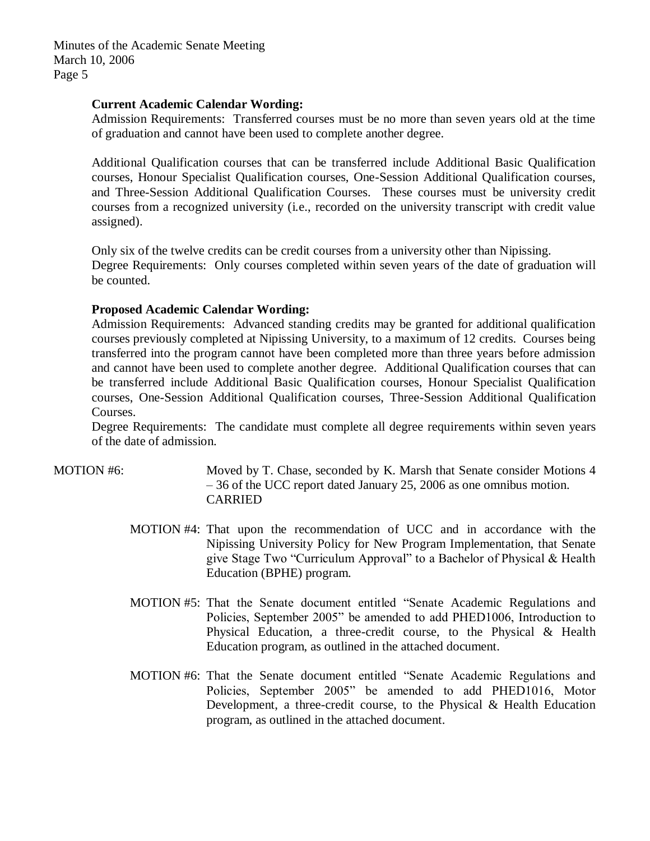#### **Current Academic Calendar Wording:**

Admission Requirements: Transferred courses must be no more than seven years old at the time of graduation and cannot have been used to complete another degree.

Additional Qualification courses that can be transferred include Additional Basic Qualification courses, Honour Specialist Qualification courses, One-Session Additional Qualification courses, and Three-Session Additional Qualification Courses. These courses must be university credit courses from a recognized university (i.e., recorded on the university transcript with credit value assigned).

Only six of the twelve credits can be credit courses from a university other than Nipissing. Degree Requirements: Only courses completed within seven years of the date of graduation will be counted.

## **Proposed Academic Calendar Wording:**

Admission Requirements: Advanced standing credits may be granted for additional qualification courses previously completed at Nipissing University, to a maximum of 12 credits. Courses being transferred into the program cannot have been completed more than three years before admission and cannot have been used to complete another degree. Additional Qualification courses that can be transferred include Additional Basic Qualification courses, Honour Specialist Qualification courses, One-Session Additional Qualification courses, Three-Session Additional Qualification Courses.

Degree Requirements: The candidate must complete all degree requirements within seven years of the date of admission.

- MOTION #6: Moved by T. Chase, seconded by K. Marsh that Senate consider Motions 4 – 36 of the UCC report dated January 25, 2006 as one omnibus motion. CARRIED
	- MOTION #4: That upon the recommendation of UCC and in accordance with the Nipissing University Policy for New Program Implementation, that Senate give Stage Two "Curriculum Approval" to a Bachelor of Physical & Health Education (BPHE) program.
	- MOTION #5: That the Senate document entitled "Senate Academic Regulations and Policies, September 2005" be amended to add PHED1006, Introduction to Physical Education, a three-credit course, to the Physical & Health Education program, as outlined in the attached document.
	- MOTION #6: That the Senate document entitled "Senate Academic Regulations and Policies, September 2005" be amended to add PHED1016, Motor Development, a three-credit course, to the Physical & Health Education program, as outlined in the attached document.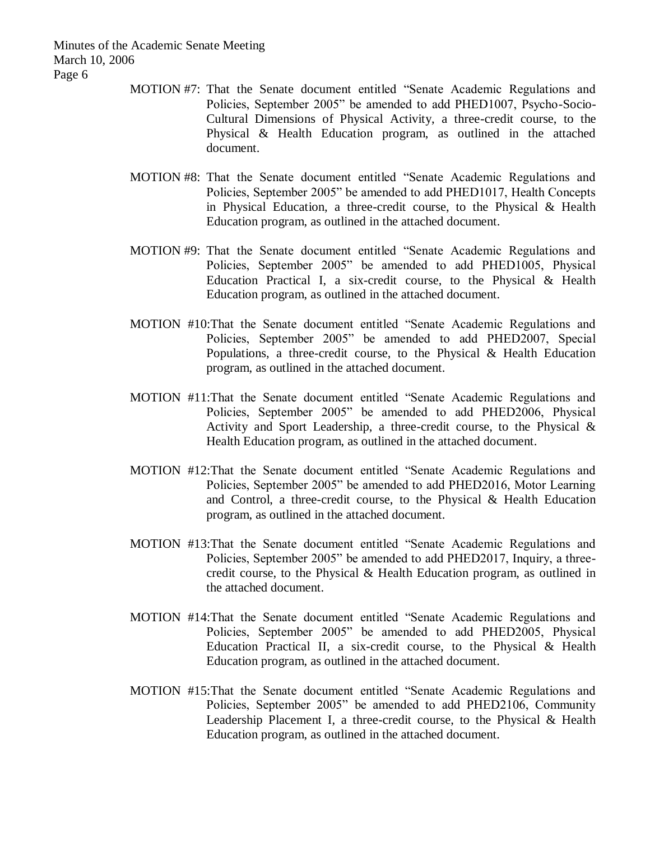- MOTION #7: That the Senate document entitled "Senate Academic Regulations and Policies, September 2005" be amended to add PHED1007, Psycho-Socio-Cultural Dimensions of Physical Activity, a three-credit course, to the Physical & Health Education program, as outlined in the attached document.
- MOTION #8: That the Senate document entitled "Senate Academic Regulations and Policies, September 2005" be amended to add PHED1017, Health Concepts in Physical Education, a three-credit course, to the Physical & Health Education program, as outlined in the attached document.
- MOTION #9: That the Senate document entitled "Senate Academic Regulations and Policies, September 2005" be amended to add PHED1005, Physical Education Practical I, a six-credit course, to the Physical & Health Education program, as outlined in the attached document.
- MOTION #10:That the Senate document entitled "Senate Academic Regulations and Policies, September 2005" be amended to add PHED2007, Special Populations, a three-credit course, to the Physical & Health Education program, as outlined in the attached document.
- MOTION #11:That the Senate document entitled "Senate Academic Regulations and Policies, September 2005" be amended to add PHED2006, Physical Activity and Sport Leadership, a three-credit course, to the Physical & Health Education program, as outlined in the attached document.
- MOTION #12:That the Senate document entitled "Senate Academic Regulations and Policies, September 2005" be amended to add PHED2016, Motor Learning and Control, a three-credit course, to the Physical & Health Education program, as outlined in the attached document.
- MOTION #13:That the Senate document entitled "Senate Academic Regulations and Policies, September 2005" be amended to add PHED2017, Inquiry, a threecredit course, to the Physical & Health Education program, as outlined in the attached document.
- MOTION #14:That the Senate document entitled "Senate Academic Regulations and Policies, September 2005" be amended to add PHED2005, Physical Education Practical II, a six-credit course, to the Physical & Health Education program, as outlined in the attached document.
- MOTION #15:That the Senate document entitled "Senate Academic Regulations and Policies, September 2005" be amended to add PHED2106, Community Leadership Placement I, a three-credit course, to the Physical & Health Education program, as outlined in the attached document.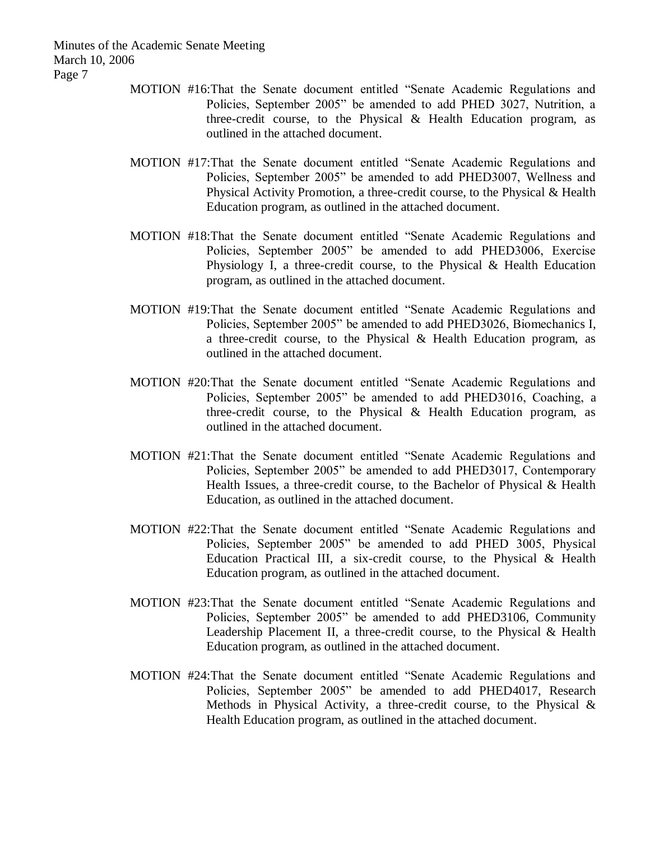- MOTION #16:That the Senate document entitled "Senate Academic Regulations and Policies, September 2005" be amended to add PHED 3027, Nutrition, a three-credit course, to the Physical & Health Education program, as outlined in the attached document.
- MOTION #17:That the Senate document entitled "Senate Academic Regulations and Policies, September 2005" be amended to add PHED3007, Wellness and Physical Activity Promotion, a three-credit course, to the Physical & Health Education program, as outlined in the attached document.
- MOTION #18:That the Senate document entitled "Senate Academic Regulations and Policies, September 2005" be amended to add PHED3006, Exercise Physiology I, a three-credit course, to the Physical & Health Education program, as outlined in the attached document.
- MOTION #19:That the Senate document entitled "Senate Academic Regulations and Policies, September 2005" be amended to add PHED3026, Biomechanics I, a three-credit course, to the Physical & Health Education program, as outlined in the attached document.
- MOTION #20:That the Senate document entitled "Senate Academic Regulations and Policies, September 2005" be amended to add PHED3016, Coaching, a three-credit course, to the Physical & Health Education program, as outlined in the attached document.
- MOTION #21:That the Senate document entitled "Senate Academic Regulations and Policies, September 2005" be amended to add PHED3017, Contemporary Health Issues, a three-credit course, to the Bachelor of Physical & Health Education, as outlined in the attached document.
- MOTION #22:That the Senate document entitled "Senate Academic Regulations and Policies, September 2005" be amended to add PHED 3005, Physical Education Practical III, a six-credit course, to the Physical & Health Education program, as outlined in the attached document.
- MOTION #23:That the Senate document entitled "Senate Academic Regulations and Policies, September 2005" be amended to add PHED3106, Community Leadership Placement II, a three-credit course, to the Physical & Health Education program, as outlined in the attached document.
- MOTION #24:That the Senate document entitled "Senate Academic Regulations and Policies, September 2005" be amended to add PHED4017, Research Methods in Physical Activity, a three-credit course, to the Physical  $\&$ Health Education program, as outlined in the attached document.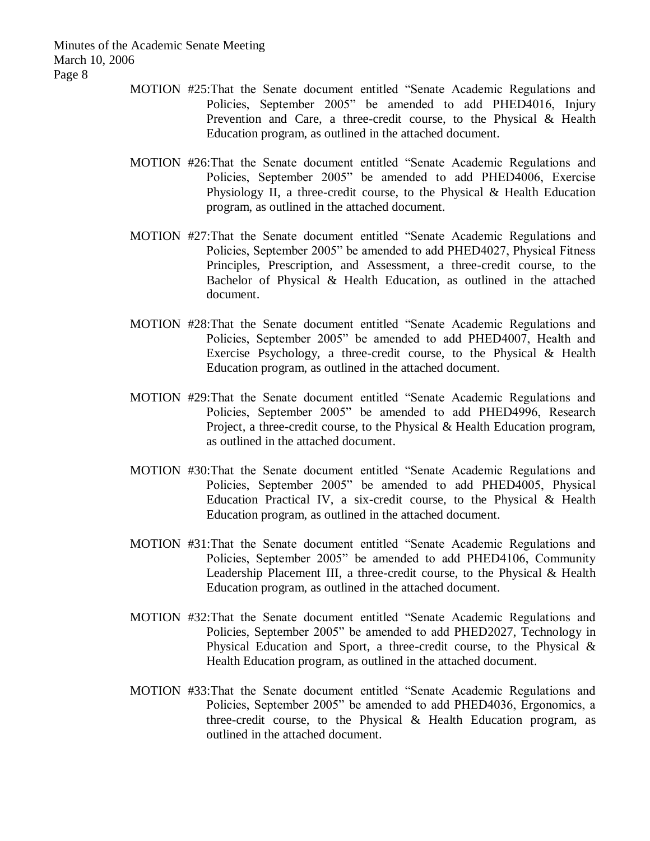- MOTION #25:That the Senate document entitled "Senate Academic Regulations and Policies, September 2005" be amended to add PHED4016, Injury Prevention and Care, a three-credit course, to the Physical & Health Education program, as outlined in the attached document.
- MOTION #26:That the Senate document entitled "Senate Academic Regulations and Policies, September 2005" be amended to add PHED4006, Exercise Physiology II, a three-credit course, to the Physical & Health Education program, as outlined in the attached document.
- MOTION #27:That the Senate document entitled "Senate Academic Regulations and Policies, September 2005" be amended to add PHED4027, Physical Fitness Principles, Prescription, and Assessment, a three-credit course, to the Bachelor of Physical & Health Education, as outlined in the attached document.
- MOTION #28:That the Senate document entitled "Senate Academic Regulations and Policies, September 2005" be amended to add PHED4007, Health and Exercise Psychology, a three-credit course, to the Physical & Health Education program, as outlined in the attached document.
- MOTION #29:That the Senate document entitled "Senate Academic Regulations and Policies, September 2005" be amended to add PHED4996, Research Project, a three-credit course, to the Physical & Health Education program, as outlined in the attached document.
- MOTION #30:That the Senate document entitled "Senate Academic Regulations and Policies, September 2005" be amended to add PHED4005, Physical Education Practical IV, a six-credit course, to the Physical & Health Education program, as outlined in the attached document.
- MOTION #31:That the Senate document entitled "Senate Academic Regulations and Policies, September 2005" be amended to add PHED4106, Community Leadership Placement III, a three-credit course, to the Physical & Health Education program, as outlined in the attached document.
- MOTION #32:That the Senate document entitled "Senate Academic Regulations and Policies, September 2005" be amended to add PHED2027, Technology in Physical Education and Sport, a three-credit course, to the Physical & Health Education program, as outlined in the attached document.
- MOTION #33:That the Senate document entitled "Senate Academic Regulations and Policies, September 2005" be amended to add PHED4036, Ergonomics, a three-credit course, to the Physical  $\&$  Health Education program, as outlined in the attached document.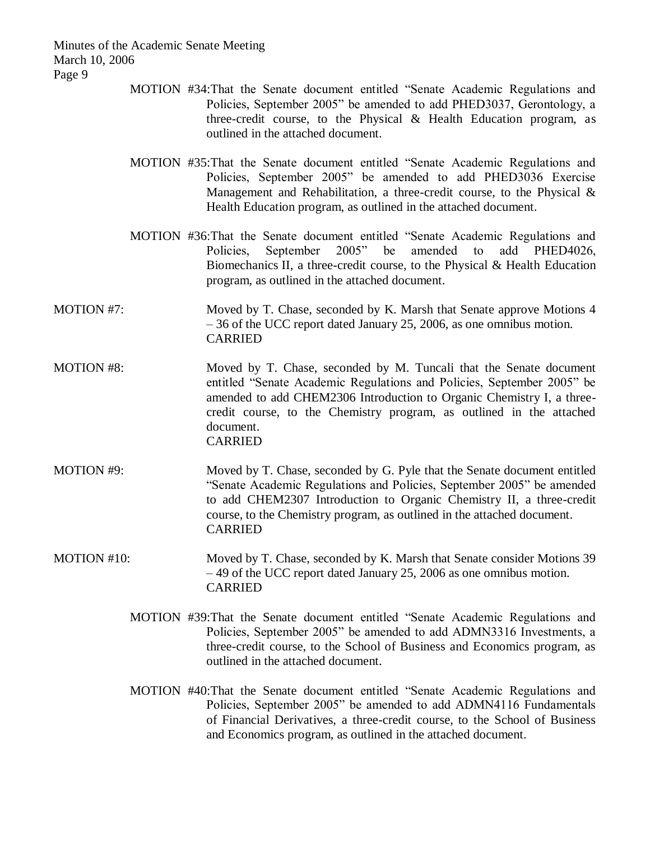- MOTION #34:That the Senate document entitled "Senate Academic Regulations and Policies, September 2005" be amended to add PHED3037, Gerontology, a three-credit course, to the Physical & Health Education program, as outlined in the attached document.
- MOTION #35:That the Senate document entitled "Senate Academic Regulations and Policies, September 2005" be amended to add PHED3036 Exercise Management and Rehabilitation, a three-credit course, to the Physical & Health Education program, as outlined in the attached document.
- MOTION #36:That the Senate document entitled "Senate Academic Regulations and Policies, September 2005" be amended to add PHED4026, Biomechanics II, a three-credit course, to the Physical & Health Education program, as outlined in the attached document.
- MOTION #7: Moved by T. Chase, seconded by K. Marsh that Senate approve Motions 4 – 36 of the UCC report dated January 25, 2006, as one omnibus motion. CARRIED
- MOTION #8: Moved by T. Chase, seconded by M. Tuncali that the Senate document entitled "Senate Academic Regulations and Policies, September 2005" be amended to add CHEM2306 Introduction to Organic Chemistry I, a threecredit course, to the Chemistry program, as outlined in the attached document. CARRIED
- MOTION #9: Moved by T. Chase, seconded by G. Pyle that the Senate document entitled "Senate Academic Regulations and Policies, September 2005" be amended to add CHEM2307 Introduction to Organic Chemistry II, a three-credit course, to the Chemistry program, as outlined in the attached document. CARRIED
- MOTION #10: Moved by T. Chase, seconded by K. Marsh that Senate consider Motions 39 – 49 of the UCC report dated January 25, 2006 as one omnibus motion. CARRIED
	- MOTION #39:That the Senate document entitled "Senate Academic Regulations and Policies, September 2005" be amended to add ADMN3316 Investments, a three-credit course, to the School of Business and Economics program, as outlined in the attached document.
	- MOTION #40:That the Senate document entitled "Senate Academic Regulations and Policies, September 2005" be amended to add ADMN4116 Fundamentals of Financial Derivatives, a three-credit course, to the School of Business and Economics program, as outlined in the attached document.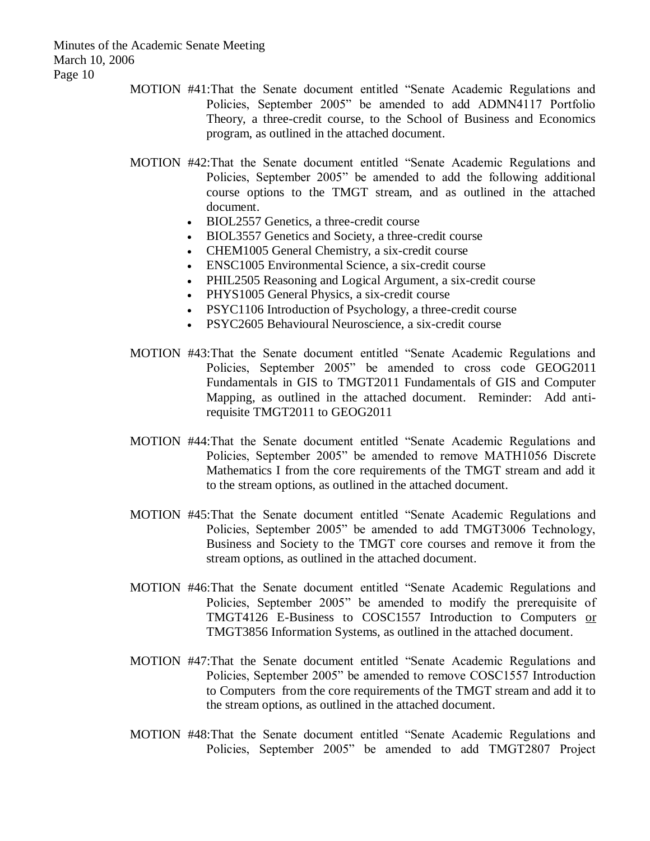- MOTION #41:That the Senate document entitled "Senate Academic Regulations and Policies, September 2005" be amended to add ADMN4117 Portfolio Theory, a three-credit course, to the School of Business and Economics program, as outlined in the attached document.
- MOTION #42:That the Senate document entitled "Senate Academic Regulations and Policies, September 2005" be amended to add the following additional course options to the TMGT stream, and as outlined in the attached document.
	- BIOL2557 Genetics, a three-credit course
	- BIOL3557 Genetics and Society, a three-credit course
	- CHEM1005 General Chemistry, a six-credit course
	- ENSC1005 Environmental Science, a six-credit course
	- PHIL2505 Reasoning and Logical Argument, a six-credit course
	- PHYS1005 General Physics, a six-credit course
	- PSYC1106 Introduction of Psychology, a three-credit course
	- PSYC2605 Behavioural Neuroscience, a six-credit course
- MOTION #43:That the Senate document entitled "Senate Academic Regulations and Policies, September 2005" be amended to cross code GEOG2011 Fundamentals in GIS to TMGT2011 Fundamentals of GIS and Computer Mapping, as outlined in the attached document. Reminder: Add antirequisite TMGT2011 to GEOG2011
- MOTION #44:That the Senate document entitled "Senate Academic Regulations and Policies, September 2005" be amended to remove MATH1056 Discrete Mathematics I from the core requirements of the TMGT stream and add it to the stream options, as outlined in the attached document.
- MOTION #45:That the Senate document entitled "Senate Academic Regulations and Policies, September 2005" be amended to add TMGT3006 Technology, Business and Society to the TMGT core courses and remove it from the stream options, as outlined in the attached document.
- MOTION #46:That the Senate document entitled "Senate Academic Regulations and Policies, September 2005" be amended to modify the prerequisite of TMGT4126 E-Business to COSC1557 Introduction to Computers or TMGT3856 Information Systems, as outlined in the attached document.
- MOTION #47:That the Senate document entitled "Senate Academic Regulations and Policies, September 2005" be amended to remove COSC1557 Introduction to Computers from the core requirements of the TMGT stream and add it to the stream options, as outlined in the attached document.
- MOTION #48:That the Senate document entitled "Senate Academic Regulations and Policies, September 2005" be amended to add TMGT2807 Project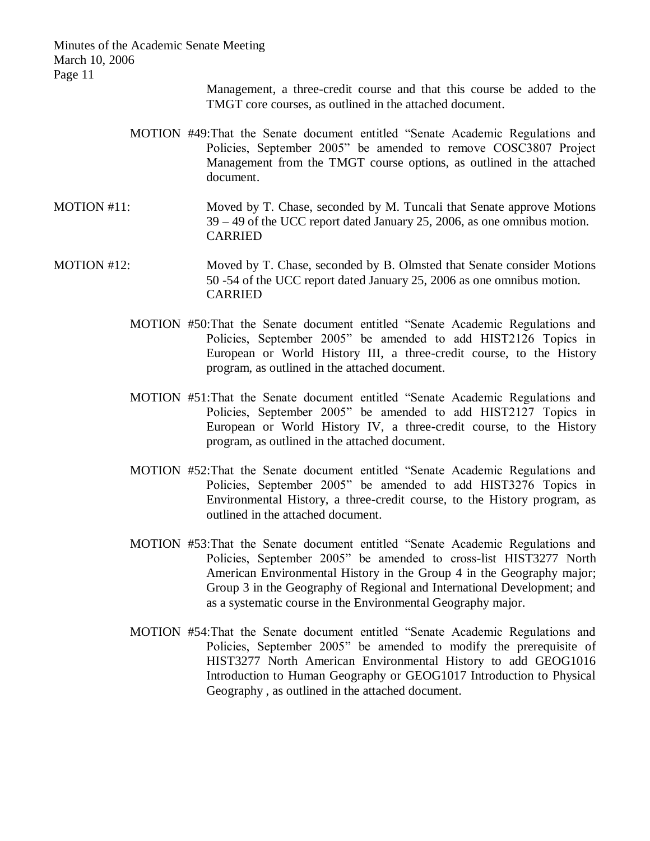> Management, a three-credit course and that this course be added to the TMGT core courses, as outlined in the attached document.

- MOTION #49:That the Senate document entitled "Senate Academic Regulations and Policies, September 2005" be amended to remove COSC3807 Project Management from the TMGT course options, as outlined in the attached document.
- MOTION #11: Moved by T. Chase, seconded by M. Tuncali that Senate approve Motions 39 – 49 of the UCC report dated January 25, 2006, as one omnibus motion. CARRIED

# MOTION #12: Moved by T. Chase, seconded by B. Olmsted that Senate consider Motions 50 -54 of the UCC report dated January 25, 2006 as one omnibus motion. CARRIED

- MOTION #50:That the Senate document entitled "Senate Academic Regulations and Policies, September 2005" be amended to add HIST2126 Topics in European or World History III, a three-credit course, to the History program, as outlined in the attached document.
- MOTION #51:That the Senate document entitled "Senate Academic Regulations and Policies, September 2005" be amended to add HIST2127 Topics in European or World History IV, a three-credit course, to the History program, as outlined in the attached document.
- MOTION #52:That the Senate document entitled "Senate Academic Regulations and Policies, September 2005" be amended to add HIST3276 Topics in Environmental History, a three-credit course, to the History program, as outlined in the attached document.
- MOTION #53:That the Senate document entitled "Senate Academic Regulations and Policies, September 2005" be amended to cross-list HIST3277 North American Environmental History in the Group 4 in the Geography major; Group 3 in the Geography of Regional and International Development; and as a systematic course in the Environmental Geography major.
- MOTION #54:That the Senate document entitled "Senate Academic Regulations and Policies, September 2005" be amended to modify the prerequisite of HIST3277 North American Environmental History to add GEOG1016 Introduction to Human Geography or GEOG1017 Introduction to Physical Geography , as outlined in the attached document.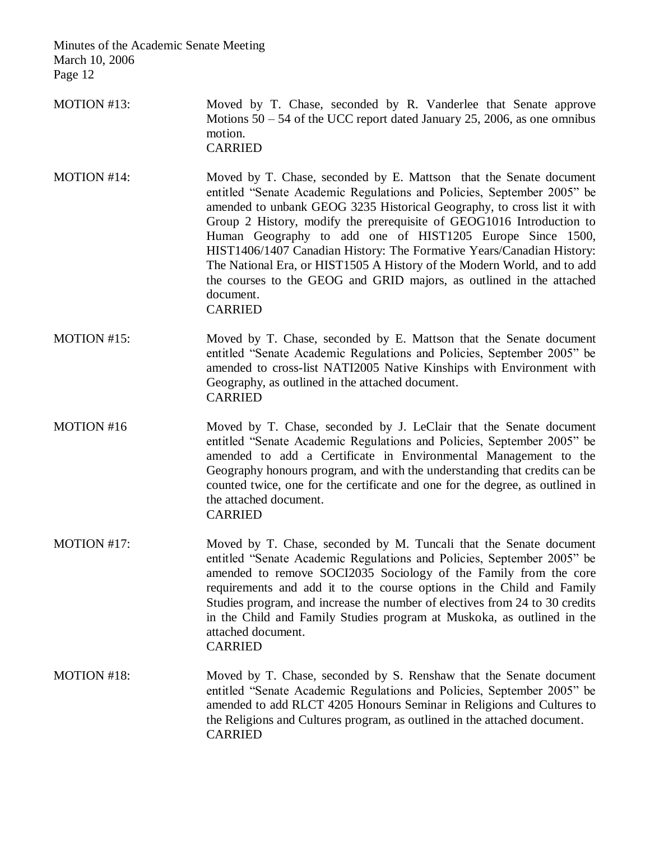- MOTION #13: Moved by T. Chase, seconded by R. Vanderlee that Senate approve Motions 50 – 54 of the UCC report dated January 25, 2006, as one omnibus motion. CARRIED
- MOTION #14: Moved by T. Chase, seconded by E. Mattson that the Senate document entitled "Senate Academic Regulations and Policies, September 2005" be amended to unbank GEOG 3235 Historical Geography, to cross list it with Group 2 History, modify the prerequisite of GEOG1016 Introduction to Human Geography to add one of HIST1205 Europe Since 1500, HIST1406/1407 Canadian History: The Formative Years/Canadian History: The National Era, or HIST1505 A History of the Modern World, and to add the courses to the GEOG and GRID majors, as outlined in the attached document. CARRIED
- MOTION #15: Moved by T. Chase, seconded by E. Mattson that the Senate document entitled "Senate Academic Regulations and Policies, September 2005" be amended to cross-list NATI2005 Native Kinships with Environment with Geography, as outlined in the attached document. CARRIED
- MOTION #16 Moved by T. Chase, seconded by J. LeClair that the Senate document entitled "Senate Academic Regulations and Policies, September 2005" be amended to add a Certificate in Environmental Management to the Geography honours program, and with the understanding that credits can be counted twice, one for the certificate and one for the degree, as outlined in the attached document. CARRIED
- MOTION #17: Moved by T. Chase, seconded by M. Tuncali that the Senate document entitled "Senate Academic Regulations and Policies, September 2005" be amended to remove SOCI2035 Sociology of the Family from the core requirements and add it to the course options in the Child and Family Studies program, and increase the number of electives from 24 to 30 credits in the Child and Family Studies program at Muskoka, as outlined in the attached document. CARRIED
- MOTION #18: Moved by T. Chase, seconded by S. Renshaw that the Senate document entitled "Senate Academic Regulations and Policies, September 2005" be amended to add RLCT 4205 Honours Seminar in Religions and Cultures to the Religions and Cultures program, as outlined in the attached document. CARRIED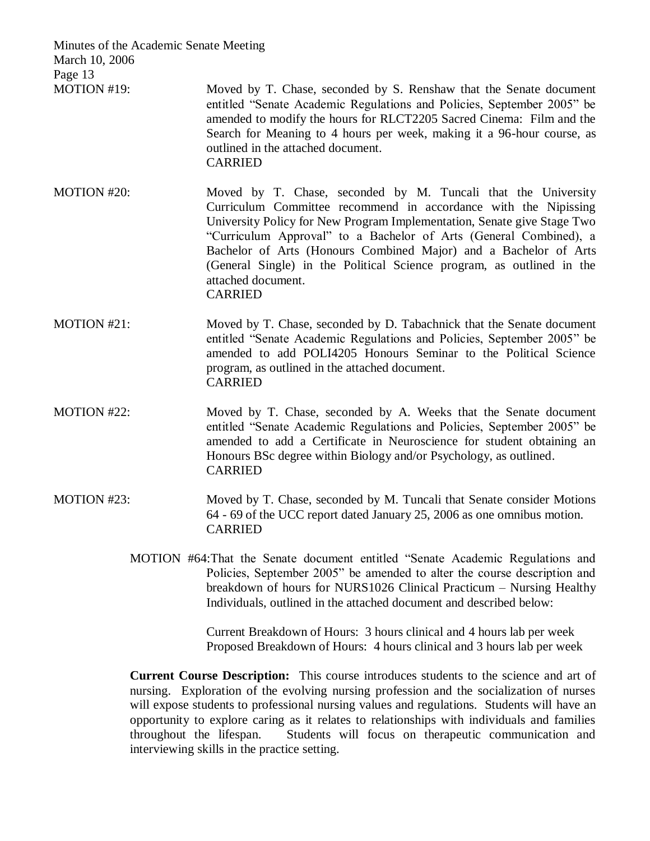| Minutes of the Academic Senate Meeting<br>March 10, 2006 |                                                                                                                                                                                                                                                                                                                                                                                                                                                                       |
|----------------------------------------------------------|-----------------------------------------------------------------------------------------------------------------------------------------------------------------------------------------------------------------------------------------------------------------------------------------------------------------------------------------------------------------------------------------------------------------------------------------------------------------------|
| Page 13<br>MOTION #19:                                   | Moved by T. Chase, seconded by S. Renshaw that the Senate document<br>entitled "Senate Academic Regulations and Policies, September 2005" be<br>amended to modify the hours for RLCT2205 Sacred Cinema: Film and the<br>Search for Meaning to 4 hours per week, making it a 96-hour course, as<br>outlined in the attached document.<br><b>CARRIED</b>                                                                                                                |
| MOTION #20:                                              | Moved by T. Chase, seconded by M. Tuncali that the University<br>Curriculum Committee recommend in accordance with the Nipissing<br>University Policy for New Program Implementation, Senate give Stage Two<br>"Curriculum Approval" to a Bachelor of Arts (General Combined), a<br>Bachelor of Arts (Honours Combined Major) and a Bachelor of Arts<br>(General Single) in the Political Science program, as outlined in the<br>attached document.<br><b>CARRIED</b> |
| MOTION #21:                                              | Moved by T. Chase, seconded by D. Tabachnick that the Senate document<br>entitled "Senate Academic Regulations and Policies, September 2005" be<br>amended to add POLI4205 Honours Seminar to the Political Science<br>program, as outlined in the attached document.<br><b>CARRIED</b>                                                                                                                                                                               |
| MOTION #22:                                              | Moved by T. Chase, seconded by A. Weeks that the Senate document<br>entitled "Senate Academic Regulations and Policies, September 2005" be<br>amended to add a Certificate in Neuroscience for student obtaining an<br>Honours BSc degree within Biology and/or Psychology, as outlined.<br><b>CARRIED</b>                                                                                                                                                            |
| MOTION #23:                                              | Moved by T. Chase, seconded by M. Tuncali that Senate consider Motions<br>64 - 69 of the UCC report dated January 25, 2006 as one omnibus motion.<br><b>CARRIED</b>                                                                                                                                                                                                                                                                                                   |
|                                                          | MOTION #64: That the Senate document entitled "Senate Academic Regulations and<br>Policies, September 2005" be amended to alter the course description and<br>breakdown of hours for NURS1026 Clinical Practicum - Nursing Healthy<br>Individuals, outlined in the attached document and described below:                                                                                                                                                             |
|                                                          | Current Breakdown of Hours: 3 hours clinical and 4 hours lab per week<br>Proposed Breakdown of Hours: 4 hours clinical and 3 hours lab per week                                                                                                                                                                                                                                                                                                                       |
|                                                          |                                                                                                                                                                                                                                                                                                                                                                                                                                                                       |

**Current Course Description:** This course introduces students to the science and art of nursing. Exploration of the evolving nursing profession and the socialization of nurses will expose students to professional nursing values and regulations. Students will have an opportunity to explore caring as it relates to relationships with individuals and families Students will focus on the rapeutic communication and interviewing skills in the practice setting.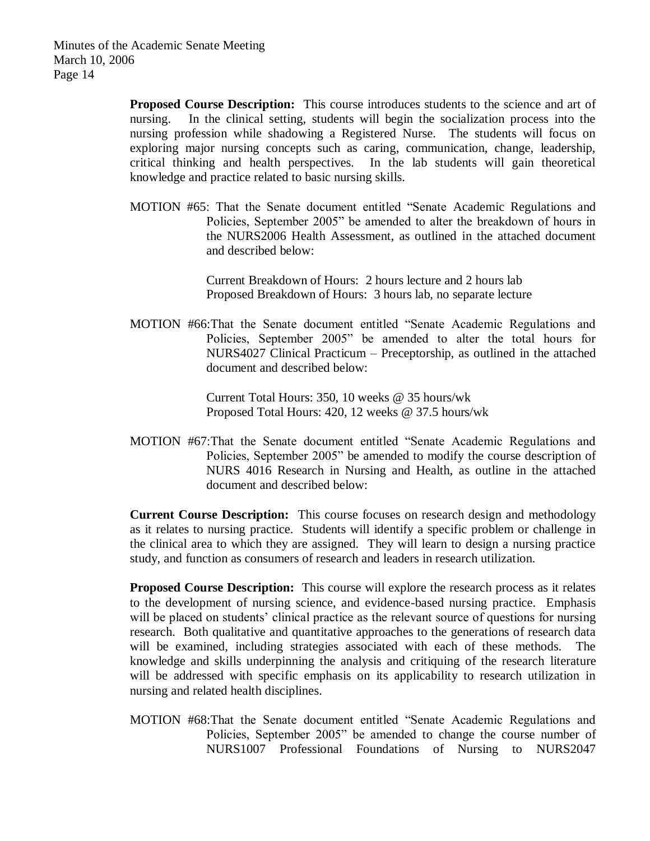**Proposed Course Description:** This course introduces students to the science and art of nursing. In the clinical setting, students will begin the socialization process into the nursing profession while shadowing a Registered Nurse. The students will focus on exploring major nursing concepts such as caring, communication, change, leadership, critical thinking and health perspectives. In the lab students will gain theoretical knowledge and practice related to basic nursing skills.

MOTION #65: That the Senate document entitled "Senate Academic Regulations and Policies, September 2005" be amended to alter the breakdown of hours in the NURS2006 Health Assessment, as outlined in the attached document and described below:

> Current Breakdown of Hours: 2 hours lecture and 2 hours lab Proposed Breakdown of Hours: 3 hours lab, no separate lecture

MOTION #66:That the Senate document entitled "Senate Academic Regulations and Policies, September 2005" be amended to alter the total hours for NURS4027 Clinical Practicum – Preceptorship, as outlined in the attached document and described below:

> Current Total Hours: 350, 10 weeks @ 35 hours/wk Proposed Total Hours: 420, 12 weeks @ 37.5 hours/wk

MOTION #67:That the Senate document entitled "Senate Academic Regulations and Policies, September 2005" be amended to modify the course description of NURS 4016 Research in Nursing and Health, as outline in the attached document and described below:

**Current Course Description:** This course focuses on research design and methodology as it relates to nursing practice. Students will identify a specific problem or challenge in the clinical area to which they are assigned. They will learn to design a nursing practice study, and function as consumers of research and leaders in research utilization.

**Proposed Course Description:** This course will explore the research process as it relates to the development of nursing science, and evidence-based nursing practice. Emphasis will be placed on students' clinical practice as the relevant source of questions for nursing research. Both qualitative and quantitative approaches to the generations of research data will be examined, including strategies associated with each of these methods. The knowledge and skills underpinning the analysis and critiquing of the research literature will be addressed with specific emphasis on its applicability to research utilization in nursing and related health disciplines.

MOTION #68:That the Senate document entitled "Senate Academic Regulations and Policies, September 2005" be amended to change the course number of NURS1007 Professional Foundations of Nursing to NURS2047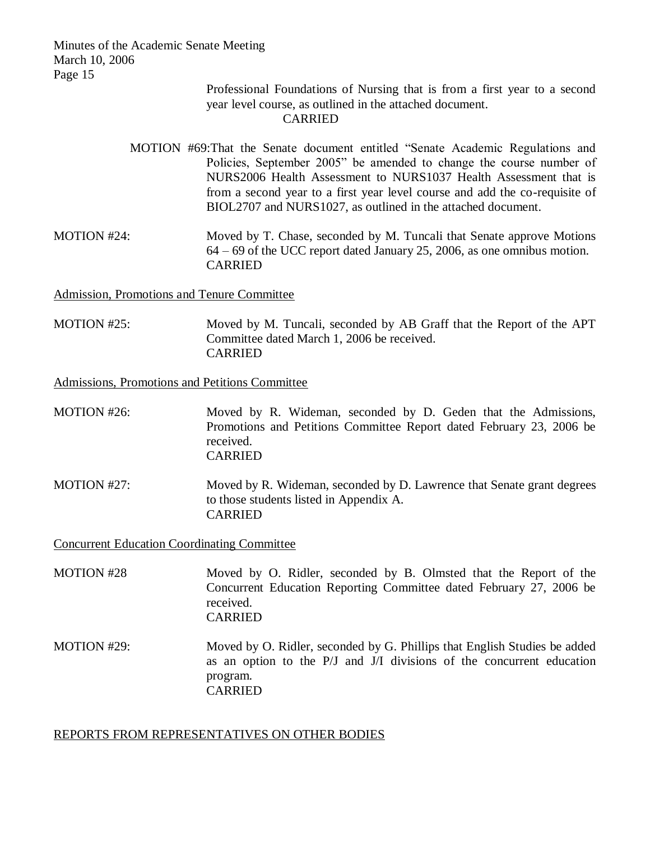#### Professional Foundations of Nursing that is from a first year to a second year level course, as outlined in the attached document. CARRIED

- MOTION #69:That the Senate document entitled "Senate Academic Regulations and Policies, September 2005" be amended to change the course number of NURS2006 Health Assessment to NURS1037 Health Assessment that is from a second year to a first year level course and add the co-requisite of BIOL2707 and NURS1027, as outlined in the attached document.
- MOTION #24: Moved by T. Chase, seconded by M. Tuncali that Senate approve Motions 64 – 69 of the UCC report dated January 25, 2006, as one omnibus motion. CARRIED

Admission, Promotions and Tenure Committee

MOTION #25: Moved by M. Tuncali, seconded by AB Graff that the Report of the APT Committee dated March 1, 2006 be received. CARRIED

Admissions, Promotions and Petitions Committee

- MOTION #26: Moved by R. Wideman, seconded by D. Geden that the Admissions, Promotions and Petitions Committee Report dated February 23, 2006 be received. CARRIED
- MOTION #27: Moved by R. Wideman, seconded by D. Lawrence that Senate grant degrees to those students listed in Appendix A. CARRIED

Concurrent Education Coordinating Committee

- MOTION #28 Moved by O. Ridler, seconded by B. Olmsted that the Report of the Concurrent Education Reporting Committee dated February 27, 2006 be received. CARRIED
- MOTION #29: Moved by O. Ridler, seconded by G. Phillips that English Studies be added as an option to the P/J and J/I divisions of the concurrent education program. CARRIED

## REPORTS FROM REPRESENTATIVES ON OTHER BODIES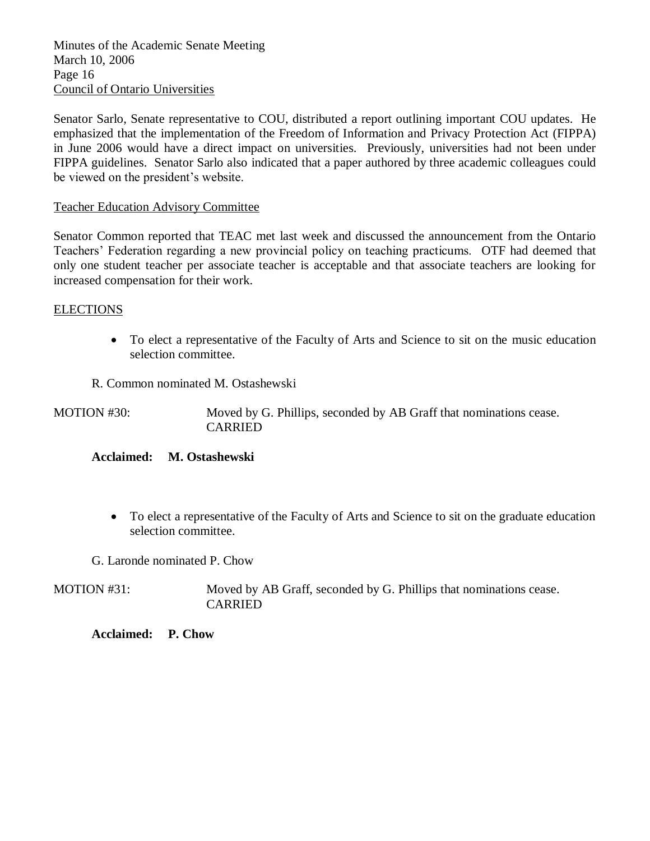Minutes of the Academic Senate Meeting March 10, 2006 Page 16 Council of Ontario Universities

Senator Sarlo, Senate representative to COU, distributed a report outlining important COU updates. He emphasized that the implementation of the Freedom of Information and Privacy Protection Act (FIPPA) in June 2006 would have a direct impact on universities. Previously, universities had not been under FIPPA guidelines. Senator Sarlo also indicated that a paper authored by three academic colleagues could be viewed on the president's website.

# Teacher Education Advisory Committee

Senator Common reported that TEAC met last week and discussed the announcement from the Ontario Teachers' Federation regarding a new provincial policy on teaching practicums. OTF had deemed that only one student teacher per associate teacher is acceptable and that associate teachers are looking for increased compensation for their work.

# ELECTIONS

- To elect a representative of the Faculty of Arts and Science to sit on the music education selection committee.
- R. Common nominated M. Ostashewski

MOTION #30: Moved by G. Phillips, seconded by AB Graff that nominations cease. CARRIED

## **Acclaimed: M. Ostashewski**

- To elect a representative of the Faculty of Arts and Science to sit on the graduate education selection committee.
- G. Laronde nominated P. Chow

MOTION #31: Moved by AB Graff, seconded by G. Phillips that nominations cease. CARRIED

**Acclaimed: P. Chow**